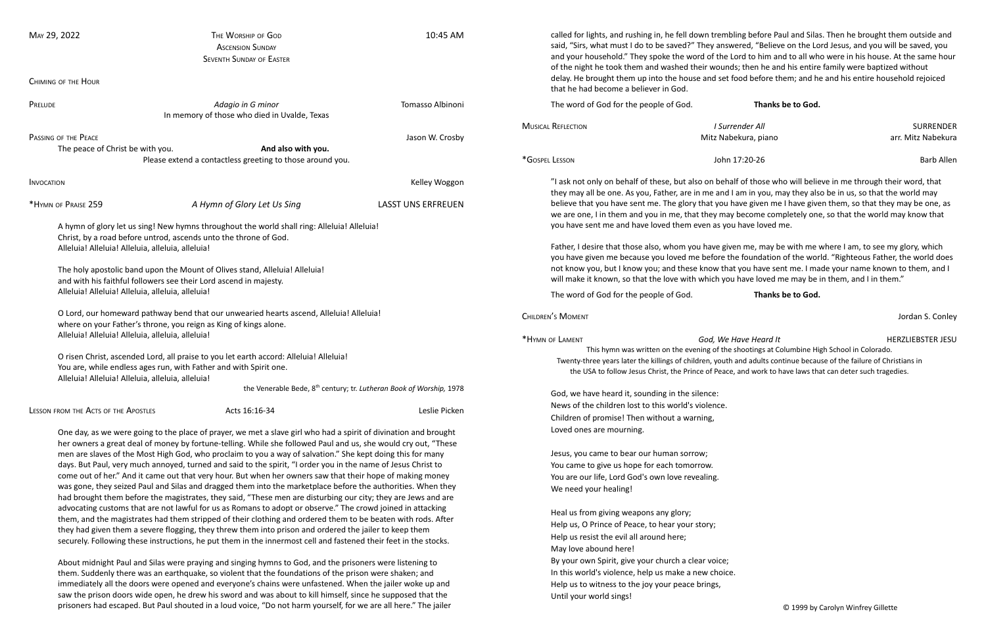| MAY 29, 2022<br>CHIMING OF THE HOUR                                                                                                                         | THE WORSHIP OF GOD<br><b>ASCENSION SUNDAY</b><br><b>SEVENTH SUNDAY OF EASTER</b>                                                                                                                                                   | 10:45 AM                  | called for lights, and rushing in, he fell down trembling before Paul and Silas. Then he brought them outside and<br>said, "Sirs, what must I do to be saved?" They answered, "Believe on the Lord Jesus, and you will be saved, you<br>and your household." They spoke the word of the Lord to him and to all who were in his house. At the same hour<br>of the night he took them and washed their wounds; then he and his entire family were baptized without<br>delay. He brought them up into the house and set food before them; and he and his entire household rejoiced |                                                                                                                      |                                        |  |
|-------------------------------------------------------------------------------------------------------------------------------------------------------------|------------------------------------------------------------------------------------------------------------------------------------------------------------------------------------------------------------------------------------|---------------------------|---------------------------------------------------------------------------------------------------------------------------------------------------------------------------------------------------------------------------------------------------------------------------------------------------------------------------------------------------------------------------------------------------------------------------------------------------------------------------------------------------------------------------------------------------------------------------------|----------------------------------------------------------------------------------------------------------------------|----------------------------------------|--|
|                                                                                                                                                             |                                                                                                                                                                                                                                    |                           | that he had become a believer in God.                                                                                                                                                                                                                                                                                                                                                                                                                                                                                                                                           |                                                                                                                      |                                        |  |
| PRELUDE                                                                                                                                                     | Adagio in G minor<br>In memory of those who died in Uvalde, Texas                                                                                                                                                                  | Tomasso Albinoni          | The word of God for the people of God.                                                                                                                                                                                                                                                                                                                                                                                                                                                                                                                                          | Thanks be to God.                                                                                                    |                                        |  |
| PASSING OF THE PEACE                                                                                                                                        |                                                                                                                                                                                                                                    | Jason W. Crosby           | <b>MUSICAL REFLECTION</b>                                                                                                                                                                                                                                                                                                                                                                                                                                                                                                                                                       | I Surrender All<br>Mitz Nabekura, piano                                                                              | <b>SURRENDER</b><br>arr. Mitz Nabekura |  |
|                                                                                                                                                             | And also with you.                                                                                                                                                                                                                 |                           |                                                                                                                                                                                                                                                                                                                                                                                                                                                                                                                                                                                 |                                                                                                                      |                                        |  |
| The peace of Christ be with you.<br>Please extend a contactless greeting to those around you.                                                               |                                                                                                                                                                                                                                    |                           | *GOSPEL LESSON                                                                                                                                                                                                                                                                                                                                                                                                                                                                                                                                                                  | John 17:20-26                                                                                                        | <b>Barb Allen</b>                      |  |
|                                                                                                                                                             |                                                                                                                                                                                                                                    |                           |                                                                                                                                                                                                                                                                                                                                                                                                                                                                                                                                                                                 |                                                                                                                      |                                        |  |
| INVOCATION                                                                                                                                                  |                                                                                                                                                                                                                                    | Kelley Woggon             | "I ask not only on behalf of these, but also on behalf of those who will believe in me through their word, that                                                                                                                                                                                                                                                                                                                                                                                                                                                                 |                                                                                                                      |                                        |  |
| *HYMN OF PRAISE 259                                                                                                                                         | A Hymn of Glory Let Us Sing                                                                                                                                                                                                        | <b>LASST UNS ERFREUEN</b> | they may all be one. As you, Father, are in me and I am in you, may they also be in us, so that the world may<br>believe that you have sent me. The glory that you have given me I have given them, so that they may be one, as<br>we are one, I in them and you in me, that they may become completely one, so that the world may know that                                                                                                                                                                                                                                    |                                                                                                                      |                                        |  |
|                                                                                                                                                             | A hymn of glory let us sing! New hymns throughout the world shall ring: Alleluia! Alleluia!                                                                                                                                        |                           | you have sent me and have loved them even as you have loved me.                                                                                                                                                                                                                                                                                                                                                                                                                                                                                                                 |                                                                                                                      |                                        |  |
|                                                                                                                                                             | Christ, by a road before untrod, ascends unto the throne of God.                                                                                                                                                                   |                           |                                                                                                                                                                                                                                                                                                                                                                                                                                                                                                                                                                                 |                                                                                                                      |                                        |  |
| Alleluia! Alleluia! Alleluia, alleluia, alleluia!                                                                                                           |                                                                                                                                                                                                                                    |                           | Father, I desire that those also, whom you have given me, may be with me where I am, to see my glory, which<br>you have given me because you loved me before the foundation of the world. "Righteous Father, the world does                                                                                                                                                                                                                                                                                                                                                     |                                                                                                                      |                                        |  |
|                                                                                                                                                             | The holy apostolic band upon the Mount of Olives stand, Alleluia! Alleluia!                                                                                                                                                        |                           | not know you, but I know you; and these know that you have sent me. I made your name known to them, and I                                                                                                                                                                                                                                                                                                                                                                                                                                                                       |                                                                                                                      |                                        |  |
|                                                                                                                                                             | and with his faithful followers see their Lord ascend in majesty.                                                                                                                                                                  |                           | will make it known, so that the love with which you have loved me may be in them, and I in them."                                                                                                                                                                                                                                                                                                                                                                                                                                                                               |                                                                                                                      |                                        |  |
|                                                                                                                                                             | Alleluia! Alleluia! Alleluia, alleluia, alleluia!                                                                                                                                                                                  |                           | The word of God for the people of God.                                                                                                                                                                                                                                                                                                                                                                                                                                                                                                                                          | Thanks be to God.                                                                                                    |                                        |  |
| O Lord, our homeward pathway bend that our unwearied hearts ascend, Alleluia! Alleluia!<br>where on your Father's throne, you reign as King of kings alone. |                                                                                                                                                                                                                                    | <b>CHILDREN'S MOMENT</b>  |                                                                                                                                                                                                                                                                                                                                                                                                                                                                                                                                                                                 | Jordan S. Conley                                                                                                     |                                        |  |
|                                                                                                                                                             | Alleluia! Alleluia! Alleluia, alleluia, alleluia!                                                                                                                                                                                  |                           | *HYMN OF LAMENT                                                                                                                                                                                                                                                                                                                                                                                                                                                                                                                                                                 | God, We Have Heard It                                                                                                | <b>HERZLIEBSTER JESU</b>               |  |
|                                                                                                                                                             |                                                                                                                                                                                                                                    |                           |                                                                                                                                                                                                                                                                                                                                                                                                                                                                                                                                                                                 | This hymn was written on the evening of the shootings at Columbine High School in Colorado.                          |                                        |  |
|                                                                                                                                                             | O risen Christ, ascended Lord, all praise to you let earth accord: Alleluia! Alleluia!                                                                                                                                             |                           |                                                                                                                                                                                                                                                                                                                                                                                                                                                                                                                                                                                 | Twenty-three years later the killings of children, youth and adults continue because of the failure of Christians in |                                        |  |
|                                                                                                                                                             | You are, while endless ages run, with Father and with Spirit one.                                                                                                                                                                  |                           | the USA to follow Jesus Christ, the Prince of Peace, and work to have laws that can deter such tragedies.                                                                                                                                                                                                                                                                                                                                                                                                                                                                       |                                                                                                                      |                                        |  |
|                                                                                                                                                             | Alleluia! Alleluia! Alleluia, alleluia, alleluia!                                                                                                                                                                                  |                           |                                                                                                                                                                                                                                                                                                                                                                                                                                                                                                                                                                                 |                                                                                                                      |                                        |  |
| the Venerable Bede, 8 <sup>th</sup> century; tr. Lutheran Book of Worship, 1978                                                                             |                                                                                                                                                                                                                                    |                           | God, we have heard it, sounding in the silence:                                                                                                                                                                                                                                                                                                                                                                                                                                                                                                                                 |                                                                                                                      |                                        |  |
| <b>LESSON FROM THE ACTS OF THE APOSTLES</b>                                                                                                                 | Acts 16:16-34                                                                                                                                                                                                                      | Leslie Picken             | News of the children lost to this world's violence.                                                                                                                                                                                                                                                                                                                                                                                                                                                                                                                             |                                                                                                                      |                                        |  |
|                                                                                                                                                             |                                                                                                                                                                                                                                    |                           | Children of promise! Then without a warning,                                                                                                                                                                                                                                                                                                                                                                                                                                                                                                                                    |                                                                                                                      |                                        |  |
|                                                                                                                                                             | One day, as we were going to the place of prayer, we met a slave girl who had a spirit of divination and brought<br>her owners a great deal of money by fortune-telling. While she followed Paul and us, she would cry out, "These |                           | Loved ones are mourning.                                                                                                                                                                                                                                                                                                                                                                                                                                                                                                                                                        |                                                                                                                      |                                        |  |
|                                                                                                                                                             | men are slaves of the Most High God, who proclaim to you a way of salvation." She kept doing this for many                                                                                                                         |                           | Jesus, you came to bear our human sorrow;                                                                                                                                                                                                                                                                                                                                                                                                                                                                                                                                       |                                                                                                                      |                                        |  |
|                                                                                                                                                             | days. But Paul, very much annoyed, turned and said to the spirit, "I order you in the name of Jesus Christ to                                                                                                                      |                           | You came to give us hope for each tomorrow.                                                                                                                                                                                                                                                                                                                                                                                                                                                                                                                                     |                                                                                                                      |                                        |  |
|                                                                                                                                                             | come out of her." And it came out that very hour. But when her owners saw that their hope of making money                                                                                                                          |                           | You are our life, Lord God's own love revealing.                                                                                                                                                                                                                                                                                                                                                                                                                                                                                                                                |                                                                                                                      |                                        |  |
|                                                                                                                                                             | was gone, they seized Paul and Silas and dragged them into the marketplace before the authorities. When they                                                                                                                       |                           | We need your healing!                                                                                                                                                                                                                                                                                                                                                                                                                                                                                                                                                           |                                                                                                                      |                                        |  |
|                                                                                                                                                             | had brought them before the magistrates, they said, "These men are disturbing our city; they are Jews and are                                                                                                                      |                           |                                                                                                                                                                                                                                                                                                                                                                                                                                                                                                                                                                                 |                                                                                                                      |                                        |  |
| advocating customs that are not lawful for us as Romans to adopt or observe." The crowd joined in attacking                                                 |                                                                                                                                                                                                                                    |                           | Heal us from giving weapons any glory;                                                                                                                                                                                                                                                                                                                                                                                                                                                                                                                                          |                                                                                                                      |                                        |  |
|                                                                                                                                                             | them, and the magistrates had them stripped of their clothing and ordered them to be beaten with rods. After                                                                                                                       |                           | Help us, O Prince of Peace, to hear your story;                                                                                                                                                                                                                                                                                                                                                                                                                                                                                                                                 |                                                                                                                      |                                        |  |
|                                                                                                                                                             | they had given them a severe flogging, they threw them into prison and ordered the jailer to keep them                                                                                                                             |                           | Help us resist the evil all around here;                                                                                                                                                                                                                                                                                                                                                                                                                                                                                                                                        |                                                                                                                      |                                        |  |
| securely. Following these instructions, he put them in the innermost cell and fastened their feet in the stocks.                                            |                                                                                                                                                                                                                                    |                           | May love abound here!                                                                                                                                                                                                                                                                                                                                                                                                                                                                                                                                                           |                                                                                                                      |                                        |  |
| About midnight Paul and Silas were praying and singing hymns to God, and the prisoners were listening to                                                    |                                                                                                                                                                                                                                    |                           | By your own Spirit, give your church a clear voice;                                                                                                                                                                                                                                                                                                                                                                                                                                                                                                                             |                                                                                                                      |                                        |  |
| them. Suddenly there was an earthquake, so violent that the foundations of the prison were shaken; and                                                      |                                                                                                                                                                                                                                    |                           | In this world's violence, help us make a new choice.                                                                                                                                                                                                                                                                                                                                                                                                                                                                                                                            |                                                                                                                      |                                        |  |
| immediately all the doors were opened and everyone's chains were unfastened. When the jailer woke up and                                                    |                                                                                                                                                                                                                                    |                           | Help us to witness to the joy your peace brings,                                                                                                                                                                                                                                                                                                                                                                                                                                                                                                                                |                                                                                                                      |                                        |  |

saw the prison doors wide open, he drew his sword and was about to kill himself, since he supposed that the prisoners had escaped. But Paul shouted in a loud voice, "Do not harm yourself, for we are all here." The jailer

## **Thanks be to God.**

## **Thanks be to God.**

Until your world sings!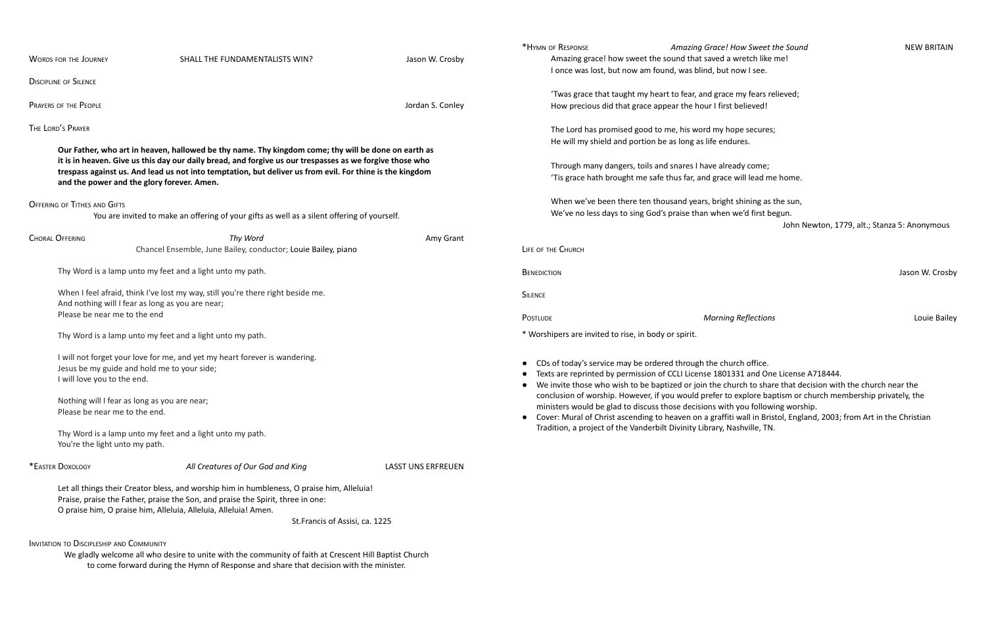|                                                 |                                                                                                                                                                                                                 |                                                                                                           | *HYMN OF RESPONSE                                                                                                 | <b>Amazing Grace! I</b>                             |  |
|-------------------------------------------------|-----------------------------------------------------------------------------------------------------------------------------------------------------------------------------------------------------------------|-----------------------------------------------------------------------------------------------------------|-------------------------------------------------------------------------------------------------------------------|-----------------------------------------------------|--|
| <b>WORDS FOR THE JOURNEY</b>                    | SHALL THE FUNDAMENTALISTS WIN?                                                                                                                                                                                  | Jason W. Crosby                                                                                           |                                                                                                                   | Amazing grace! how sweet the sound that saved a     |  |
|                                                 |                                                                                                                                                                                                                 |                                                                                                           |                                                                                                                   | I once was lost, but now am found, was blind, but a |  |
| <b>DISCIPLINE OF SILENCE</b>                    |                                                                                                                                                                                                                 |                                                                                                           |                                                                                                                   |                                                     |  |
| PRAYERS OF THE PEOPLE                           |                                                                                                                                                                                                                 | Jordan S. Conley                                                                                          | 'Twas grace that taught my heart to fear, and grace<br>How precious did that grace appear the hour I first        |                                                     |  |
|                                                 |                                                                                                                                                                                                                 |                                                                                                           |                                                                                                                   |                                                     |  |
| THE LORD'S PRAYER                               |                                                                                                                                                                                                                 | The Lord has promised good to me, his word my ho                                                          |                                                                                                                   |                                                     |  |
|                                                 |                                                                                                                                                                                                                 |                                                                                                           | He will my shield and portion be as long as life end                                                              |                                                     |  |
|                                                 | Our Father, who art in heaven, hallowed be thy name. Thy kingdom come; thy will be done on earth as<br>it is in heaven. Give us this day our daily bread, and forgive us our trespasses as we forgive those who |                                                                                                           |                                                                                                                   |                                                     |  |
|                                                 | trespass against us. And lead us not into temptation, but deliver us from evil. For thine is the kingdom                                                                                                        | Through many dangers, toils and snares I have alre<br>'Tis grace hath brought me safe thus far, and grace |                                                                                                                   |                                                     |  |
|                                                 | and the power and the glory forever. Amen.                                                                                                                                                                      |                                                                                                           |                                                                                                                   |                                                     |  |
| OFFERING OF TITHES AND GIFTS                    |                                                                                                                                                                                                                 |                                                                                                           |                                                                                                                   | When we've been there ten thousand years, bright    |  |
|                                                 | You are invited to make an offering of your gifts as well as a silent offering of yourself.                                                                                                                     |                                                                                                           |                                                                                                                   | We've no less days to sing God's praise than when   |  |
|                                                 |                                                                                                                                                                                                                 |                                                                                                           |                                                                                                                   |                                                     |  |
| <b>CHORAL OFFERING</b>                          | Thy Word                                                                                                                                                                                                        | Amy Grant                                                                                                 |                                                                                                                   |                                                     |  |
|                                                 | Chancel Ensemble, June Bailey, conductor; Louie Bailey, piano                                                                                                                                                   |                                                                                                           | LIFE OF THE CHURCH                                                                                                |                                                     |  |
|                                                 | Thy Word is a lamp unto my feet and a light unto my path.                                                                                                                                                       |                                                                                                           | <b>BENEDICTION</b>                                                                                                |                                                     |  |
|                                                 |                                                                                                                                                                                                                 |                                                                                                           |                                                                                                                   |                                                     |  |
|                                                 | When I feel afraid, think I've lost my way, still you're there right beside me.                                                                                                                                 | <b>SILENCE</b>                                                                                            |                                                                                                                   |                                                     |  |
| Please be near me to the end                    | And nothing will I fear as long as you are near;                                                                                                                                                                |                                                                                                           |                                                                                                                   |                                                     |  |
|                                                 |                                                                                                                                                                                                                 |                                                                                                           | POSTLUDE                                                                                                          | Morning                                             |  |
|                                                 | Thy Word is a lamp unto my feet and a light unto my path.                                                                                                                                                       |                                                                                                           | * Worshipers are invited to rise, in body or spirit.                                                              |                                                     |  |
|                                                 | I will not forget your love for me, and yet my heart forever is wandering.                                                                                                                                      |                                                                                                           |                                                                                                                   |                                                     |  |
|                                                 | Jesus be my guide and hold me to your side;                                                                                                                                                                     |                                                                                                           | CDs of today's service may be ordered through the chu                                                             |                                                     |  |
| I will love you to the end.                     |                                                                                                                                                                                                                 |                                                                                                           | Texts are reprinted by permission of CCLI License 1801.                                                           |                                                     |  |
|                                                 |                                                                                                                                                                                                                 |                                                                                                           | We invite those who wish to be baptized or join the ch                                                            |                                                     |  |
|                                                 | Nothing will I fear as long as you are near;                                                                                                                                                                    |                                                                                                           | conclusion of worship. However, if you would prefer to<br>ministers would be glad to discuss those decisions with |                                                     |  |
| Please be near me to the end.                   |                                                                                                                                                                                                                 |                                                                                                           | Cover: Mural of Christ ascending to heaven on a graffit                                                           |                                                     |  |
|                                                 | Thy Word is a lamp unto my feet and a light unto my path.                                                                                                                                                       |                                                                                                           | Tradition, a project of the Vanderbilt Divinity Library, N                                                        |                                                     |  |
| You're the light unto my path.                  |                                                                                                                                                                                                                 |                                                                                                           |                                                                                                                   |                                                     |  |
|                                                 |                                                                                                                                                                                                                 |                                                                                                           |                                                                                                                   |                                                     |  |
| *EASTER DOXOLOGY                                | All Creatures of Our God and King                                                                                                                                                                               | <b>LASST UNS ERFREUEN</b>                                                                                 |                                                                                                                   |                                                     |  |
|                                                 | Let all things their Creator bless, and worship him in humbleness, O praise him, Alleluia!                                                                                                                      |                                                                                                           |                                                                                                                   |                                                     |  |
|                                                 | Praise, praise the Father, praise the Son, and praise the Spirit, three in one:                                                                                                                                 |                                                                                                           |                                                                                                                   |                                                     |  |
|                                                 | O praise him, O praise him, Alleluia, Alleluia, Alleluia! Amen.                                                                                                                                                 |                                                                                                           |                                                                                                                   |                                                     |  |
|                                                 | St. Francis of Assisi, ca. 1225                                                                                                                                                                                 |                                                                                                           |                                                                                                                   |                                                     |  |
| <b>INVITATION TO DISCIPLESHIP AND COMMUNITY</b> |                                                                                                                                                                                                                 |                                                                                                           |                                                                                                                   |                                                     |  |
|                                                 | We gladly welcome all who desire to unite with the community of faith at Crescent Hill Baptist Church                                                                                                           |                                                                                                           |                                                                                                                   |                                                     |  |
|                                                 | to come forward during the Hymn of Response and share that decision with the minister.                                                                                                                          |                                                                                                           |                                                                                                                   |                                                     |  |
|                                                 |                                                                                                                                                                                                                 |                                                                                                           |                                                                                                                   |                                                     |  |

 $\mu$  *How Sweet the Sound* NEW BRITAIN a wretch like me! now I see.

e my fears relieved; believed!

ope secures; dures.

eady come; will lead me home.

t shining as the sun, we'd first begun.

John Newton, 1779, alt.; Stanza 5: Anonymous

Jason W. Crosby

**Postlume** *Reflections* **Contract** *Contract Contract Contract Contract Contract Contract Contract Contract Contract Contract Contract Contract Contract Contract Contract Contract Contract Contract Contract Contract Contra* 

arch office.

1331 and One License A718444.

nurch to share that decision with the church near the explore baptism or church membership privately, the

th you following worship.

iti wall in Bristol, England, 2003; from Art in the Christian Vashville, TN.